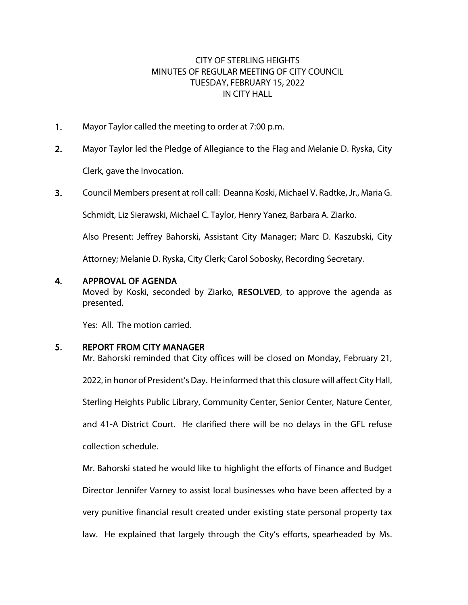# CITY OF STERLING HEIGHTS MINUTES OF REGULAR MEETING OF CITY COUNCIL TUESDAY, FEBRUARY 15, 2022 IN CITY HALL

- 1. Mayor Taylor called the meeting to order at 7:00 p.m.
- 2. Mayor Taylor led the Pledge of Allegiance to the Flag and Melanie D. Ryska, City Clerk, gave the Invocation.
- 3. Council Members present at roll call: Deanna Koski, Michael V. Radtke, Jr., Maria G.

Schmidt, Liz Sierawski, Michael C. Taylor, Henry Yanez, Barbara A. Ziarko.

Also Present: Jeffrey Bahorski, Assistant City Manager; Marc D. Kaszubski, City

Attorney; Melanie D. Ryska, City Clerk; Carol Sobosky, Recording Secretary.

#### 4. APPROVAL OF AGENDA

Moved by Koski, seconded by Ziarko, RESOLVED, to approve the agenda as presented.

Yes: All. The motion carried.

## 5. REPORT FROM CITY MANAGER

Mr. Bahorski reminded that City offices will be closed on Monday, February 21, 2022, in honor of President's Day. He informed that this closure will affect City Hall, Sterling Heights Public Library, Community Center, Senior Center, Nature Center, and 41-A District Court. He clarified there will be no delays in the GFL refuse collection schedule.

Mr. Bahorski stated he would like to highlight the efforts of Finance and Budget Director Jennifer Varney to assist local businesses who have been affected by a very punitive financial result created under existing state personal property tax law. He explained that largely through the City's efforts, spearheaded by Ms.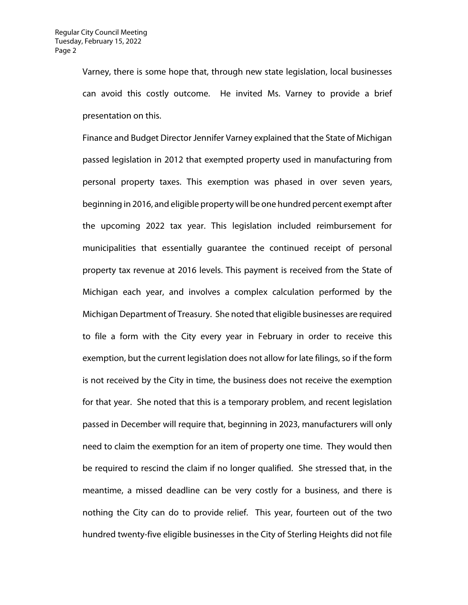Varney, there is some hope that, through new state legislation, local businesses can avoid this costly outcome. He invited Ms. Varney to provide a brief presentation on this.

Finance and Budget Director Jennifer Varney explained that the State of Michigan passed legislation in 2012 that exempted property used in manufacturing from personal property taxes. This exemption was phased in over seven years, beginning in 2016, and eligible property will be one hundred percent exempt after the upcoming 2022 tax year. This legislation included reimbursement for municipalities that essentially guarantee the continued receipt of personal property tax revenue at 2016 levels. This payment is received from the State of Michigan each year, and involves a complex calculation performed by the Michigan Department of Treasury. She noted that eligible businesses are required to file a form with the City every year in February in order to receive this exemption, but the current legislation does not allow for late filings, so if the form is not received by the City in time, the business does not receive the exemption for that year. She noted that this is a temporary problem, and recent legislation passed in December will require that, beginning in 2023, manufacturers will only need to claim the exemption for an item of property one time. They would then be required to rescind the claim if no longer qualified. She stressed that, in the meantime, a missed deadline can be very costly for a business, and there is nothing the City can do to provide relief. This year, fourteen out of the two hundred twenty-five eligible businesses in the City of Sterling Heights did not file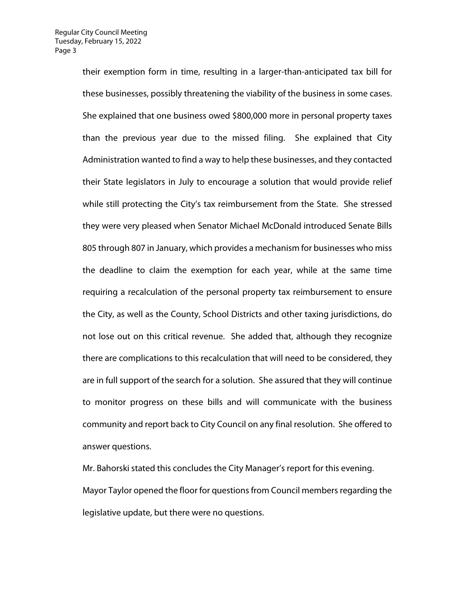their exemption form in time, resulting in a larger-than-anticipated tax bill for these businesses, possibly threatening the viability of the business in some cases. She explained that one business owed \$800,000 more in personal property taxes than the previous year due to the missed filing. She explained that City Administration wanted to find a way to help these businesses, and they contacted their State legislators in July to encourage a solution that would provide relief while still protecting the City's tax reimbursement from the State. She stressed they were very pleased when Senator Michael McDonald introduced Senate Bills 805 through 807 in January, which provides a mechanism for businesses who miss the deadline to claim the exemption for each year, while at the same time requiring a recalculation of the personal property tax reimbursement to ensure the City, as well as the County, School Districts and other taxing jurisdictions, do not lose out on this critical revenue. She added that, although they recognize there are complications to this recalculation that will need to be considered, they are in full support of the search for a solution. She assured that they will continue to monitor progress on these bills and will communicate with the business community and report back to City Council on any final resolution. She offered to answer questions.

Mr. Bahorski stated this concludes the City Manager's report for this evening. Mayor Taylor opened the floor for questions from Council members regarding the legislative update, but there were no questions.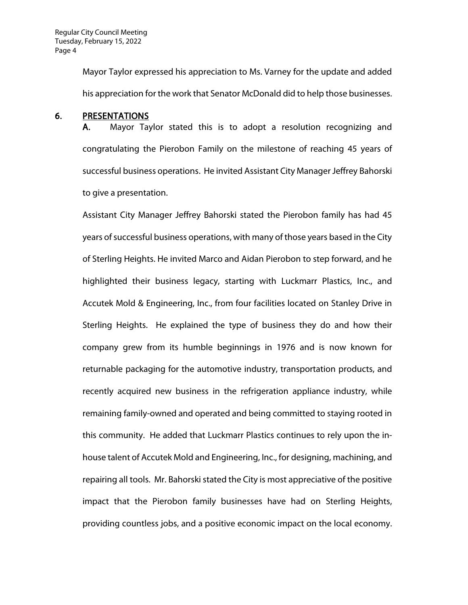Mayor Taylor expressed his appreciation to Ms. Varney for the update and added his appreciation for the work that Senator McDonald did to help those businesses.

#### 6. PRESENTATIONS

A. Mayor Taylor stated this is to adopt a resolution recognizing and congratulating the Pierobon Family on the milestone of reaching 45 years of successful business operations. He invited Assistant City Manager Jeffrey Bahorski to give a presentation.

Assistant City Manager Jeffrey Bahorski stated the Pierobon family has had 45 years of successful business operations, with many of those years based in the City of Sterling Heights. He invited Marco and Aidan Pierobon to step forward, and he highlighted their business legacy, starting with Luckmarr Plastics, Inc., and Accutek Mold & Engineering, Inc., from four facilities located on Stanley Drive in Sterling Heights. He explained the type of business they do and how their company grew from its humble beginnings in 1976 and is now known for returnable packaging for the automotive industry, transportation products, and recently acquired new business in the refrigeration appliance industry, while remaining family-owned and operated and being committed to staying rooted in this community. He added that Luckmarr Plastics continues to rely upon the inhouse talent of Accutek Mold and Engineering, Inc., for designing, machining, and repairing all tools. Mr. Bahorski stated the City is most appreciative of the positive impact that the Pierobon family businesses have had on Sterling Heights, providing countless jobs, and a positive economic impact on the local economy.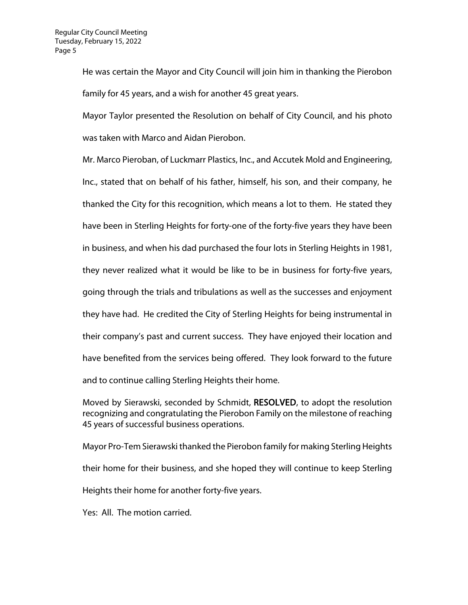He was certain the Mayor and City Council will join him in thanking the Pierobon family for 45 years, and a wish for another 45 great years.

Mayor Taylor presented the Resolution on behalf of City Council, and his photo was taken with Marco and Aidan Pierobon.

Mr. Marco Pieroban, of Luckmarr Plastics, Inc., and Accutek Mold and Engineering, Inc., stated that on behalf of his father, himself, his son, and their company, he thanked the City for this recognition, which means a lot to them. He stated they have been in Sterling Heights for forty-one of the forty-five years they have been in business, and when his dad purchased the four lots in Sterling Heights in 1981, they never realized what it would be like to be in business for forty-five years, going through the trials and tribulations as well as the successes and enjoyment they have had. He credited the City of Sterling Heights for being instrumental in their company's past and current success. They have enjoyed their location and have benefited from the services being offered. They look forward to the future and to continue calling Sterling Heights their home.

Moved by Sierawski, seconded by Schmidt, RESOLVED, to adopt the resolution recognizing and congratulating the Pierobon Family on the milestone of reaching 45 years of successful business operations.

Mayor Pro-Tem Sierawski thanked the Pierobon family for making Sterling Heights their home for their business, and she hoped they will continue to keep Sterling Heights their home for another forty-five years.

Yes: All. The motion carried.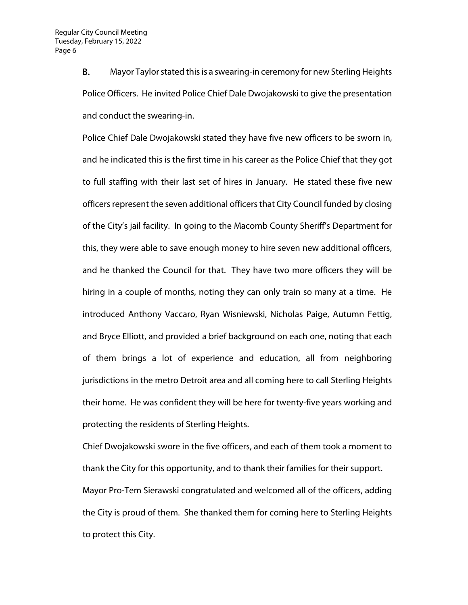B. Mayor Taylor stated this is a swearing-in ceremony for new Sterling Heights Police Officers. He invited Police Chief Dale Dwojakowski to give the presentation and conduct the swearing-in.

Police Chief Dale Dwojakowski stated they have five new officers to be sworn in, and he indicated this is the first time in his career as the Police Chief that they got to full staffing with their last set of hires in January. He stated these five new officers represent the seven additional officers that City Council funded by closing of the City's jail facility. In going to the Macomb County Sheriff's Department for this, they were able to save enough money to hire seven new additional officers, and he thanked the Council for that. They have two more officers they will be hiring in a couple of months, noting they can only train so many at a time. He introduced Anthony Vaccaro, Ryan Wisniewski, Nicholas Paige, Autumn Fettig, and Bryce Elliott, and provided a brief background on each one, noting that each of them brings a lot of experience and education, all from neighboring jurisdictions in the metro Detroit area and all coming here to call Sterling Heights their home. He was confident they will be here for twenty-five years working and protecting the residents of Sterling Heights.

Chief Dwojakowski swore in the five officers, and each of them took a moment to thank the City for this opportunity, and to thank their families for their support. Mayor Pro-Tem Sierawski congratulated and welcomed all of the officers, adding the City is proud of them. She thanked them for coming here to Sterling Heights to protect this City.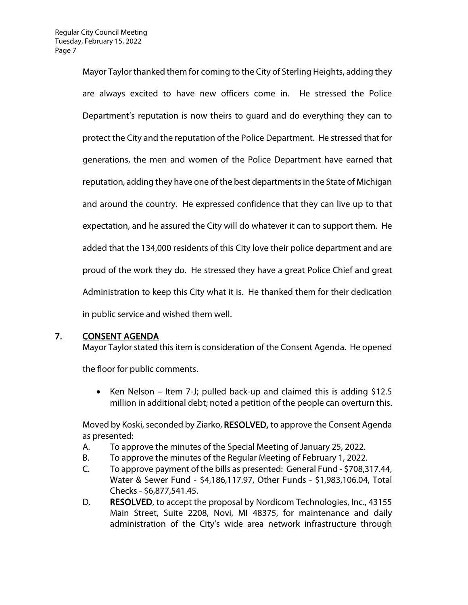Mayor Taylor thanked them for coming to the City of Sterling Heights, adding they are always excited to have new officers come in. He stressed the Police Department's reputation is now theirs to guard and do everything they can to protect the City and the reputation of the Police Department. He stressed that for generations, the men and women of the Police Department have earned that reputation, adding they have one of the best departments in the State of Michigan and around the country. He expressed confidence that they can live up to that expectation, and he assured the City will do whatever it can to support them. He added that the 134,000 residents of this City love their police department and are proud of the work they do. He stressed they have a great Police Chief and great Administration to keep this City what it is. He thanked them for their dedication in public service and wished them well.

# 7. CONSENT AGENDA

Mayor Taylor stated this item is consideration of the Consent Agenda. He opened

the floor for public comments.

• Ken Nelson – Item 7-J; pulled back-up and claimed this is adding \$12.5 million in additional debt; noted a petition of the people can overturn this.

Moved by Koski, seconded by Ziarko, RESOLVED, to approve the Consent Agenda as presented:

- A. To approve the minutes of the Special Meeting of January 25, 2022.
- B. To approve the minutes of the Regular Meeting of February 1, 2022.
- C. To approve payment of the bills as presented: General Fund \$708,317.44, Water & Sewer Fund - \$4,186,117.97, Other Funds - \$1,983,106.04, Total Checks - \$6,877,541.45.
- D. RESOLVED, to accept the proposal by Nordicom Technologies, Inc., 43155 Main Street, Suite 2208, Novi, MI 48375, for maintenance and daily administration of the City's wide area network infrastructure through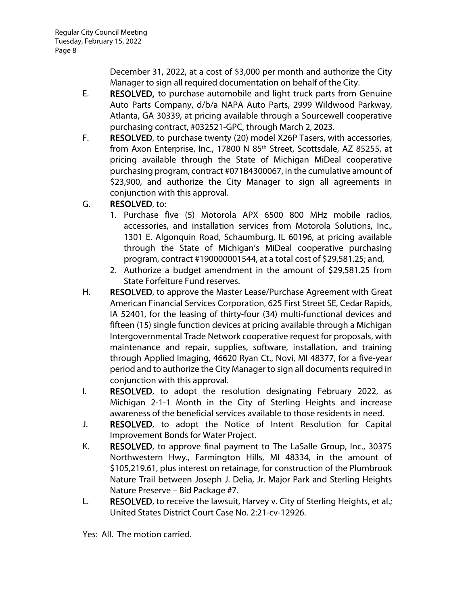December 31, 2022, at a cost of \$3,000 per month and authorize the City Manager to sign all required documentation on behalf of the City.

- E. RESOLVED, to purchase automobile and light truck parts from Genuine Auto Parts Company, d/b/a NAPA Auto Parts, 2999 Wildwood Parkway, Atlanta, GA 30339, at pricing available through a Sourcewell cooperative purchasing contract, #032521-GPC, through March 2, 2023.
- F. RESOLVED, to purchase twenty (20) model X26P Tasers, with accessories, from Axon Enterprise, Inc., 17800 N 85<sup>th</sup> Street, Scottsdale, AZ 85255, at pricing available through the State of Michigan MiDeal cooperative purchasing program, contract #071B4300067, in the cumulative amount of \$23,900, and authorize the City Manager to sign all agreements in conjunction with this approval.
- G. RESOLVED, to:
	- 1. Purchase five (5) Motorola APX 6500 800 MHz mobile radios, accessories, and installation services from Motorola Solutions, Inc., 1301 E. Algonquin Road, Schaumburg, IL 60196, at pricing available through the State of Michigan's MiDeal cooperative purchasing program, contract #190000001544, at a total cost of \$29,581.25; and,
	- 2. Authorize a budget amendment in the amount of \$29,581.25 from State Forfeiture Fund reserves.
- H. RESOLVED, to approve the Master Lease/Purchase Agreement with Great American Financial Services Corporation, 625 First Street SE, Cedar Rapids, IA 52401, for the leasing of thirty-four (34) multi-functional devices and fifteen (15) single function devices at pricing available through a Michigan Intergovernmental Trade Network cooperative request for proposals, with maintenance and repair, supplies, software, installation, and training through Applied Imaging, 46620 Ryan Ct., Novi, MI 48377, for a five-year period and to authorize the City Manager to sign all documents required in conjunction with this approval.
- I. RESOLVED, to adopt the resolution designating February 2022, as Michigan 2-1-1 Month in the City of Sterling Heights and increase awareness of the beneficial services available to those residents in need.
- J. RESOLVED, to adopt the Notice of Intent Resolution for Capital Improvement Bonds for Water Project.
- K. RESOLVED, to approve final payment to The LaSalle Group, Inc., 30375 Northwestern Hwy., Farmington Hills, MI 48334, in the amount of \$105,219.61, plus interest on retainage, for construction of the Plumbrook Nature Trail between Joseph J. Delia, Jr. Major Park and Sterling Heights Nature Preserve – Bid Package #7.
- L. RESOLVED, to receive the lawsuit, Harvey v. City of Sterling Heights, et al.; United States District Court Case No. 2:21-cv-12926.

Yes: All. The motion carried.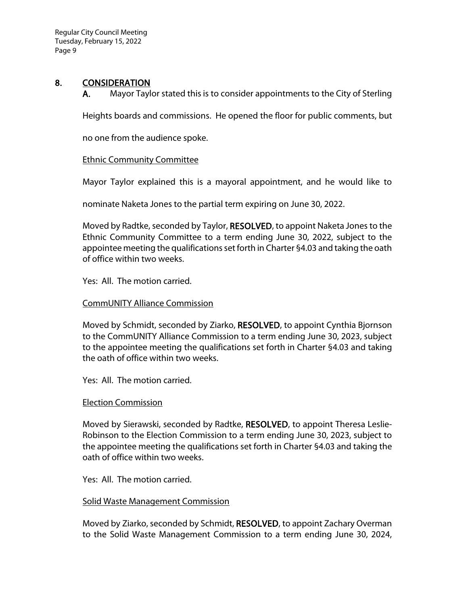## 8. CONSIDERATION

A. Mayor Taylor stated this is to consider appointments to the City of Sterling

Heights boards and commissions. He opened the floor for public comments, but

no one from the audience spoke.

### Ethnic Community Committee

Mayor Taylor explained this is a mayoral appointment, and he would like to

nominate Naketa Jones to the partial term expiring on June 30, 2022.

Moved by Radtke, seconded by Taylor, RESOLVED, to appoint Naketa Jones to the Ethnic Community Committee to a term ending June 30, 2022, subject to the appointee meeting the qualifications set forth in Charter §4.03 and taking the oath of office within two weeks.

Yes: All. The motion carried.

#### CommUNITY Alliance Commission

Moved by Schmidt, seconded by Ziarko, RESOLVED, to appoint Cynthia Bjornson to the CommUNITY Alliance Commission to a term ending June 30, 2023, subject to the appointee meeting the qualifications set forth in Charter §4.03 and taking the oath of office within two weeks.

Yes: All. The motion carried.

### Election Commission

Moved by Sierawski, seconded by Radtke, RESOLVED, to appoint Theresa Leslie-Robinson to the Election Commission to a term ending June 30, 2023, subject to the appointee meeting the qualifications set forth in Charter §4.03 and taking the oath of office within two weeks.

Yes: All. The motion carried.

#### Solid Waste Management Commission

Moved by Ziarko, seconded by Schmidt, RESOLVED, to appoint Zachary Overman to the Solid Waste Management Commission to a term ending June 30, 2024,